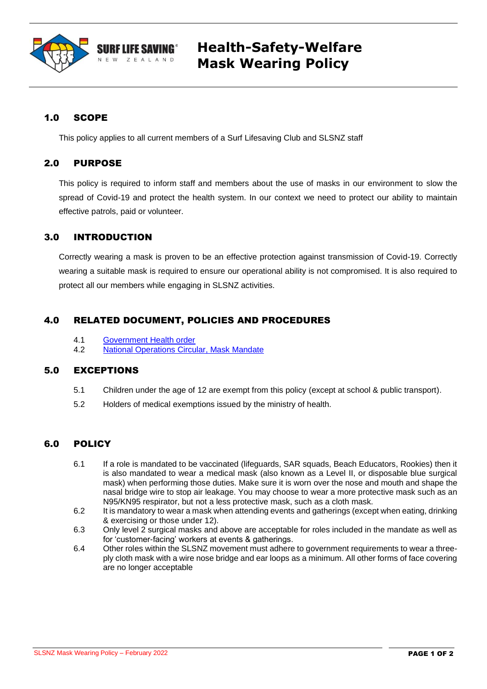

# **Health-Safety-Welfare Mask Wearing Policy**

## 1.0 SCOPE

This policy applies to all current members of a Surf Lifesaving Club and SLSNZ staff

### 2.0 PURPOSE

This policy is required to inform staff and members about the use of masks in our environment to slow the spread of Covid-19 and protect the health system. In our context we need to protect our ability to maintain effective patrols, paid or volunteer.

## 3.0 INTRODUCTION

Correctly wearing a mask is proven to be an effective protection against transmission of Covid-19. Correctly wearing a suitable mask is required to ensure our operational ability is not compromised. It is also required to protect all our members while engaging in SLSNZ activities.

## 4.0 RELATED DOCUMENT, POLICIES AND PROCEDURES

- 4.1 [Government Health order](https://legislation.govt.nz/regulation/public/2021/0094/latest/whole.html?search=ts_act%40bill%40regulation%40deemedreg_public+health+response+vaccination_resel_25_a&p=1#LMS487855)
- 4.2 [National Operations Circular, Mask Mandate](https://surflifesavingnewzealand.createsend1.com/t/j-l-zidddtd-l-r/)

### 5.0 EXCEPTIONS

- 5.1 Children under the age of 12 are exempt from this policy (except at school & public transport).
- 5.2 Holders of medical exemptions issued by the ministry of health.

## 6.0 POLICY

- 6.1 If a role is mandated to be vaccinated (lifeguards, SAR squads, Beach Educators, Rookies) then it is also mandated to wear a medical mask (also known as a Level II, or disposable blue surgical mask) when performing those duties. Make sure it is worn over the nose and mouth and shape the nasal bridge wire to stop air leakage. You may choose to wear a more protective mask such as an N95/KN95 respirator, but not a less protective mask, such as a cloth mask.
- 6.2 It is mandatory to wear a mask when attending events and gatherings (except when eating, drinking & exercising or those under 12).
- 6.3 Only level 2 surgical masks and above are acceptable for roles included in the mandate as well as for 'customer-facing' workers at events & gatherings.
- 6.4 Other roles within the SLSNZ movement must adhere to government requirements to wear a threeply cloth mask with a wire nose bridge and ear loops as a minimum. All other forms of face covering are no longer acceptable